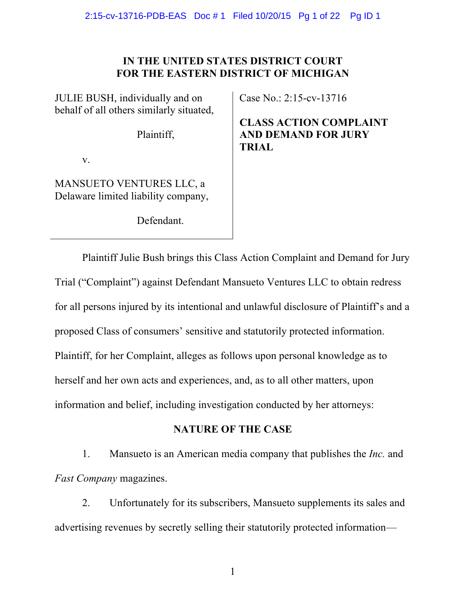# **IN THE UNITED STATES DISTRICT COURT FOR THE EASTERN DISTRICT OF MICHIGAN**

| Case N<br>JULIE BUSH, individually and on<br>behalf of all others similarly situated, |                                     |
|---------------------------------------------------------------------------------------|-------------------------------------|
| Plaintiff,                                                                            | <b>CLAS</b><br>AND I<br><b>TRIA</b> |

v.

MANSUETO VENTURES LLC, a Delaware limited liability company,

Defendant.

 $\sqrt{0}$ : 2:15-cv-13716

**COMPLAINT DEMAND FOR JURY**  $\mathbf{L}$ 

Plaintiff Julie Bush brings this Class Action Complaint and Demand for Jury Trial ("Complaint") against Defendant Mansueto Ventures LLC to obtain redress for all persons injured by its intentional and unlawful disclosure of Plaintiff's and a proposed Class of consumers' sensitive and statutorily protected information. Plaintiff, for her Complaint, alleges as follows upon personal knowledge as to herself and her own acts and experiences, and, as to all other matters, upon information and belief, including investigation conducted by her attorneys:

# **NATURE OF THE CASE**

1. Mansueto is an American media company that publishes the *Inc.* and *Fast Company* magazines.

2. Unfortunately for its subscribers, Mansueto supplements its sales and advertising revenues by secretly selling their statutorily protected information—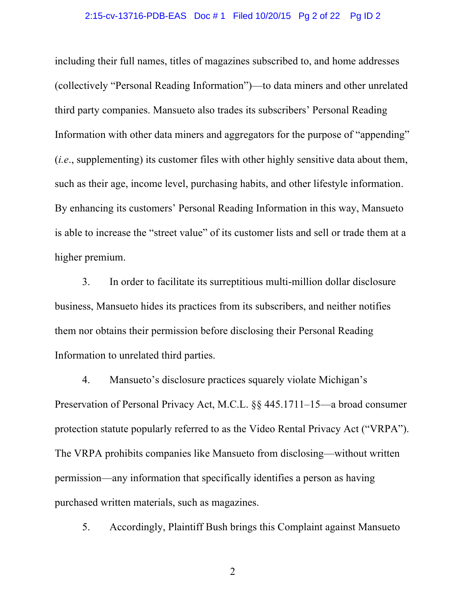### 2:15-cv-13716-PDB-EAS Doc # 1 Filed 10/20/15 Pg 2 of 22 Pg ID 2

including their full names, titles of magazines subscribed to, and home addresses (collectively "Personal Reading Information")—to data miners and other unrelated third party companies. Mansueto also trades its subscribers' Personal Reading Information with other data miners and aggregators for the purpose of "appending" (*i.e*., supplementing) its customer files with other highly sensitive data about them, such as their age, income level, purchasing habits, and other lifestyle information. By enhancing its customers' Personal Reading Information in this way, Mansueto is able to increase the "street value" of its customer lists and sell or trade them at a higher premium.

3. In order to facilitate its surreptitious multi-million dollar disclosure business, Mansueto hides its practices from its subscribers, and neither notifies them nor obtains their permission before disclosing their Personal Reading Information to unrelated third parties.

4. Mansueto's disclosure practices squarely violate Michigan's Preservation of Personal Privacy Act, M.C.L. §§ 445.1711–15—a broad consumer protection statute popularly referred to as the Video Rental Privacy Act ("VRPA"). The VRPA prohibits companies like Mansueto from disclosing—without written permission—any information that specifically identifies a person as having purchased written materials, such as magazines.

5. Accordingly, Plaintiff Bush brings this Complaint against Mansueto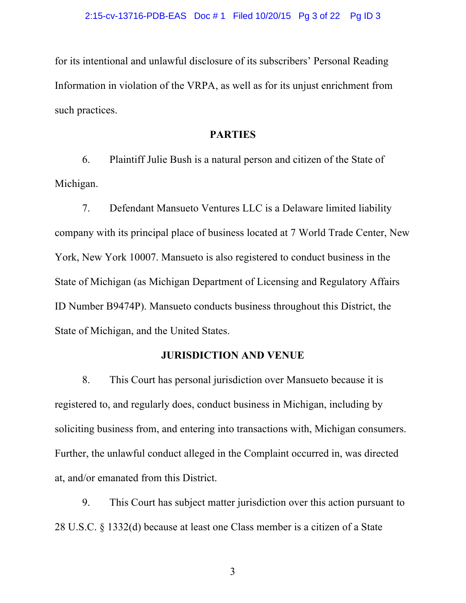for its intentional and unlawful disclosure of its subscribers' Personal Reading Information in violation of the VRPA, as well as for its unjust enrichment from such practices.

### **PARTIES**

6. Plaintiff Julie Bush is a natural person and citizen of the State of Michigan.

7. Defendant Mansueto Ventures LLC is a Delaware limited liability company with its principal place of business located at 7 World Trade Center, New York, New York 10007. Mansueto is also registered to conduct business in the State of Michigan (as Michigan Department of Licensing and Regulatory Affairs ID Number B9474P). Mansueto conducts business throughout this District, the State of Michigan, and the United States.

# **JURISDICTION AND VENUE**

8. This Court has personal jurisdiction over Mansueto because it is registered to, and regularly does, conduct business in Michigan, including by soliciting business from, and entering into transactions with, Michigan consumers. Further, the unlawful conduct alleged in the Complaint occurred in, was directed at, and/or emanated from this District.

9. This Court has subject matter jurisdiction over this action pursuant to 28 U.S.C. § 1332(d) because at least one Class member is a citizen of a State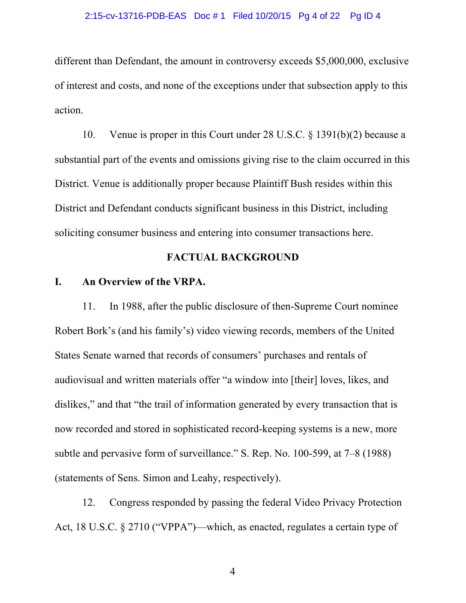#### 2:15-cv-13716-PDB-EAS Doc # 1 Filed 10/20/15 Pg 4 of 22 Pg ID 4

different than Defendant, the amount in controversy exceeds \$5,000,000, exclusive of interest and costs, and none of the exceptions under that subsection apply to this action.

10. Venue is proper in this Court under 28 U.S.C. § 1391(b)(2) because a substantial part of the events and omissions giving rise to the claim occurred in this District. Venue is additionally proper because Plaintiff Bush resides within this District and Defendant conducts significant business in this District, including soliciting consumer business and entering into consumer transactions here.

# **FACTUAL BACKGROUND**

# **I. An Overview of the VRPA.**

11. In 1988, after the public disclosure of then-Supreme Court nominee Robert Bork's (and his family's) video viewing records, members of the United States Senate warned that records of consumers' purchases and rentals of audiovisual and written materials offer "a window into [their] loves, likes, and dislikes," and that "the trail of information generated by every transaction that is now recorded and stored in sophisticated record-keeping systems is a new, more subtle and pervasive form of surveillance." S. Rep. No. 100-599, at 7–8 (1988) (statements of Sens. Simon and Leahy, respectively).

12. Congress responded by passing the federal Video Privacy Protection Act, 18 U.S.C. § 2710 ("VPPA")—which, as enacted, regulates a certain type of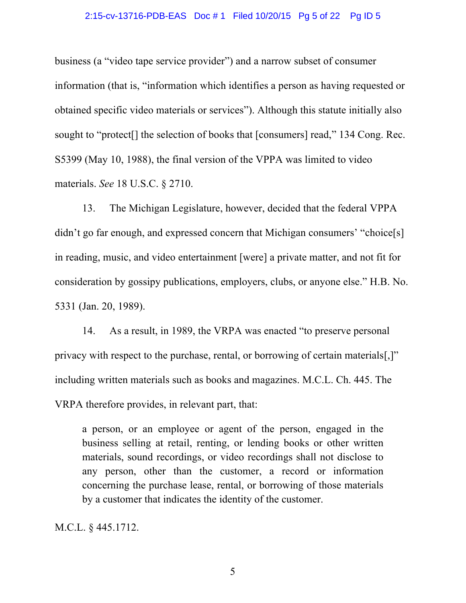#### 2:15-cv-13716-PDB-EAS Doc # 1 Filed 10/20/15 Pg 5 of 22 Pg ID 5

business (a "video tape service provider") and a narrow subset of consumer information (that is, "information which identifies a person as having requested or obtained specific video materials or services"). Although this statute initially also sought to "protect[] the selection of books that [consumers] read," 134 Cong. Rec. S5399 (May 10, 1988), the final version of the VPPA was limited to video materials. *See* 18 U.S.C. § 2710.

13. The Michigan Legislature, however, decided that the federal VPPA didn't go far enough, and expressed concern that Michigan consumers' "choice[s] in reading, music, and video entertainment [were] a private matter, and not fit for consideration by gossipy publications, employers, clubs, or anyone else." H.B. No. 5331 (Jan. 20, 1989).

14. As a result, in 1989, the VRPA was enacted "to preserve personal privacy with respect to the purchase, rental, or borrowing of certain materials[,]" including written materials such as books and magazines. M.C.L. Ch. 445. The VRPA therefore provides, in relevant part, that:

a person, or an employee or agent of the person, engaged in the business selling at retail, renting, or lending books or other written materials, sound recordings, or video recordings shall not disclose to any person, other than the customer, a record or information concerning the purchase lease, rental, or borrowing of those materials by a customer that indicates the identity of the customer.

M.C.L. § 445.1712.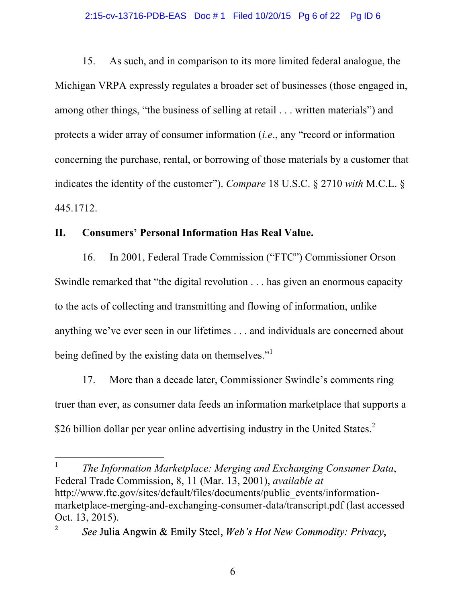#### 2:15-cv-13716-PDB-EAS Doc # 1 Filed 10/20/15 Pg 6 of 22 Pg ID 6

15. As such, and in comparison to its more limited federal analogue, the Michigan VRPA expressly regulates a broader set of businesses (those engaged in, among other things, "the business of selling at retail . . . written materials") and protects a wider array of consumer information (*i.e*., any "record or information concerning the purchase, rental, or borrowing of those materials by a customer that indicates the identity of the customer"). *Compare* 18 U.S.C. § 2710 *with* M.C.L. § 445.1712.

# **II. Consumers' Personal Information Has Real Value.**

16. In 2001, Federal Trade Commission ("FTC") Commissioner Orson Swindle remarked that "the digital revolution . . . has given an enormous capacity to the acts of collecting and transmitting and flowing of information, unlike anything we've ever seen in our lifetimes . . . and individuals are concerned about being defined by the existing data on themselves."<sup>1</sup>

17. More than a decade later, Commissioner Swindle's comments ring truer than ever, as consumer data feeds an information marketplace that supports a \$26 billion dollar per year online advertising industry in the United States.<sup>2</sup>

 1 *The Information Marketplace: Merging and Exchanging Consumer Data*, Federal Trade Commission, 8, 11 (Mar. 13, 2001), *available at* http://www.ftc.gov/sites/default/files/documents/public\_events/informationmarketplace-merging-and-exchanging-consumer-data/transcript.pdf (last accessed Oct. 13, 2015).

<sup>2</sup> *See* Julia Angwin & Emily Steel, *Web's Hot New Commodity: Privacy*,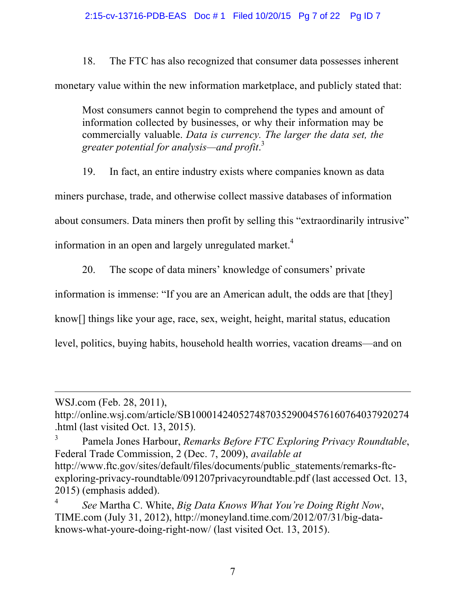18. The FTC has also recognized that consumer data possesses inherent monetary value within the new information marketplace, and publicly stated that:

Most consumers cannot begin to comprehend the types and amount of information collected by businesses, or why their information may be commercially valuable. *Data is currency. The larger the data set, the greater potential for analysis—and profit*. 3

19. In fact, an entire industry exists where companies known as data miners purchase, trade, and otherwise collect massive databases of information about consumers. Data miners then profit by selling this "extraordinarily intrusive" information in an open and largely unregulated market.<sup>4</sup>

20. The scope of data miners' knowledge of consumers' private

information is immense: "If you are an American adult, the odds are that [they]

know[] things like your age, race, sex, weight, height, marital status, education

level, politics, buying habits, household health worries, vacation dreams—and on

 $\overline{a}$ 

WSJ.com (Feb. 28, 2011),

http://online.wsj.com/article/SB10001424052748703529004576160764037920274 .html (last visited Oct. 13, 2015).

<sup>3</sup> Pamela Jones Harbour, *Remarks Before FTC Exploring Privacy Roundtable*, Federal Trade Commission, 2 (Dec. 7, 2009), *available at*  http://www.ftc.gov/sites/default/files/documents/public\_statements/remarks-ftcexploring-privacy-roundtable/091207privacyroundtable.pdf (last accessed Oct. 13, 2015) (emphasis added).

<sup>4</sup> *See* Martha C. White, *Big Data Knows What You're Doing Right Now*, TIME.com (July 31, 2012), http://moneyland.time.com/2012/07/31/big-dataknows-what-youre-doing-right-now/ (last visited Oct. 13, 2015).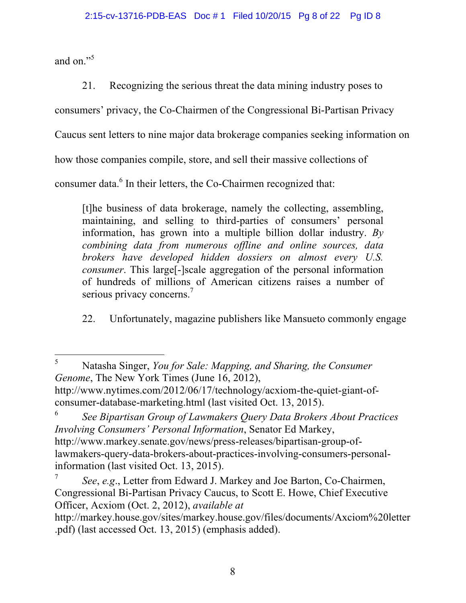and on."<sup>5</sup>

21. Recognizing the serious threat the data mining industry poses to

consumers' privacy, the Co-Chairmen of the Congressional Bi-Partisan Privacy

Caucus sent letters to nine major data brokerage companies seeking information on

how those companies compile, store, and sell their massive collections of

consumer data.<sup>6</sup> In their letters, the Co-Chairmen recognized that:

[t]he business of data brokerage, namely the collecting, assembling, maintaining, and selling to third-parties of consumers' personal information, has grown into a multiple billion dollar industry. *By combining data from numerous offline and online sources, data brokers have developed hidden dossiers on almost every U.S. consumer*. This large[-]scale aggregation of the personal information of hundreds of millions of American citizens raises a number of serious privacy concerns.<sup>7</sup>

22. Unfortunately, magazine publishers like Mansueto commonly engage

<sup>6</sup> *See Bipartisan Group of Lawmakers Query Data Brokers About Practices Involving Consumers' Personal Information*, Senator Ed Markey, http://www.markey.senate.gov/news/press-releases/bipartisan-group-oflawmakers-query-data-brokers-about-practices-involving-consumers-personalinformation (last visited Oct. 13, 2015).

 <sup>5</sup> Natasha Singer, *You for Sale: Mapping, and Sharing, the Consumer Genome*, The New York Times (June 16, 2012), http://www.nytimes.com/2012/06/17/technology/acxiom-the-quiet-giant-ofconsumer-database-marketing.html (last visited Oct. 13, 2015).

<sup>7</sup> *See*, *e.g*., Letter from Edward J. Markey and Joe Barton, Co-Chairmen, Congressional Bi-Partisan Privacy Caucus, to Scott E. Howe, Chief Executive Officer, Acxiom (Oct. 2, 2012), *available at*

http://markey.house.gov/sites/markey.house.gov/files/documents/Axciom%20letter .pdf) (last accessed Oct. 13, 2015) (emphasis added).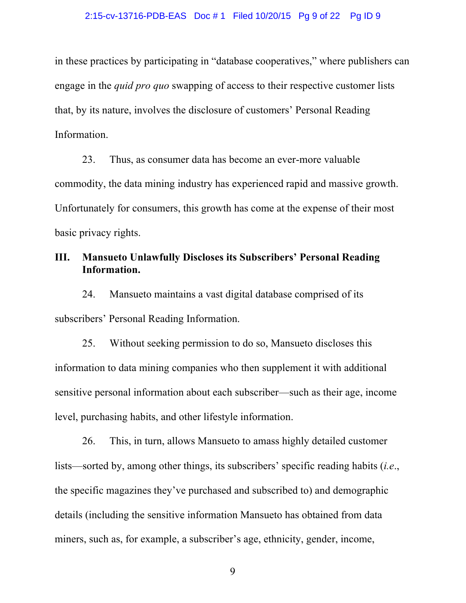in these practices by participating in "database cooperatives," where publishers can engage in the *quid pro quo* swapping of access to their respective customer lists that, by its nature, involves the disclosure of customers' Personal Reading Information.

23. Thus, as consumer data has become an ever-more valuable commodity, the data mining industry has experienced rapid and massive growth. Unfortunately for consumers, this growth has come at the expense of their most basic privacy rights.

# **III. Mansueto Unlawfully Discloses its Subscribers' Personal Reading Information.**

24. Mansueto maintains a vast digital database comprised of its subscribers' Personal Reading Information.

25. Without seeking permission to do so, Mansueto discloses this information to data mining companies who then supplement it with additional sensitive personal information about each subscriber—such as their age, income level, purchasing habits, and other lifestyle information.

26. This, in turn, allows Mansueto to amass highly detailed customer lists—sorted by, among other things, its subscribers' specific reading habits (*i.e*., the specific magazines they've purchased and subscribed to) and demographic details (including the sensitive information Mansueto has obtained from data miners, such as, for example, a subscriber's age, ethnicity, gender, income,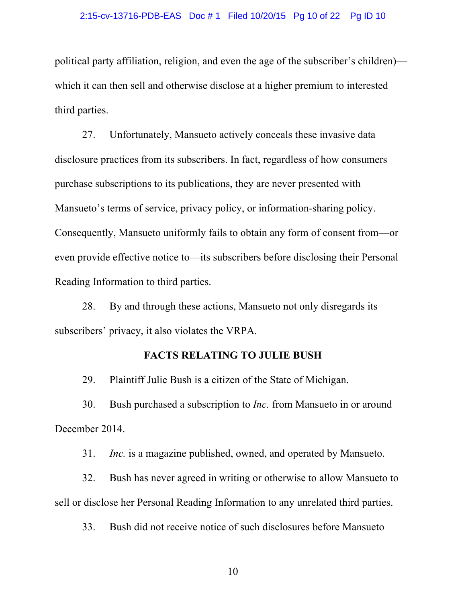#### 2:15-cv-13716-PDB-EAS Doc # 1 Filed 10/20/15 Pg 10 of 22 Pg ID 10

political party affiliation, religion, and even the age of the subscriber's children) which it can then sell and otherwise disclose at a higher premium to interested third parties.

27. Unfortunately, Mansueto actively conceals these invasive data disclosure practices from its subscribers. In fact, regardless of how consumers purchase subscriptions to its publications, they are never presented with Mansueto's terms of service, privacy policy, or information-sharing policy. Consequently, Mansueto uniformly fails to obtain any form of consent from—or even provide effective notice to—its subscribers before disclosing their Personal Reading Information to third parties.

28. By and through these actions, Mansueto not only disregards its subscribers' privacy, it also violates the VRPA.

### **FACTS RELATING TO JULIE BUSH**

29. Plaintiff Julie Bush is a citizen of the State of Michigan.

30. Bush purchased a subscription to *Inc.* from Mansueto in or around December 2014.

31. *Inc.* is a magazine published, owned, and operated by Mansueto.

32. Bush has never agreed in writing or otherwise to allow Mansueto to sell or disclose her Personal Reading Information to any unrelated third parties.

33. Bush did not receive notice of such disclosures before Mansueto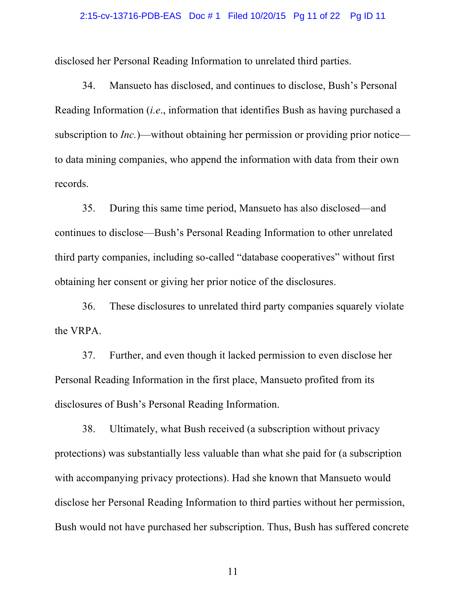#### 2:15-cv-13716-PDB-EAS Doc # 1 Filed 10/20/15 Pg 11 of 22 Pg ID 11

disclosed her Personal Reading Information to unrelated third parties.

34. Mansueto has disclosed, and continues to disclose, Bush's Personal Reading Information (*i.e*., information that identifies Bush as having purchased a subscription to *Inc.*)—without obtaining her permission or providing prior notice to data mining companies, who append the information with data from their own records.

35. During this same time period, Mansueto has also disclosed—and continues to disclose—Bush's Personal Reading Information to other unrelated third party companies, including so-called "database cooperatives" without first obtaining her consent or giving her prior notice of the disclosures.

36. These disclosures to unrelated third party companies squarely violate the VRPA.

37. Further, and even though it lacked permission to even disclose her Personal Reading Information in the first place, Mansueto profited from its disclosures of Bush's Personal Reading Information.

38. Ultimately, what Bush received (a subscription without privacy protections) was substantially less valuable than what she paid for (a subscription with accompanying privacy protections). Had she known that Mansueto would disclose her Personal Reading Information to third parties without her permission, Bush would not have purchased her subscription. Thus, Bush has suffered concrete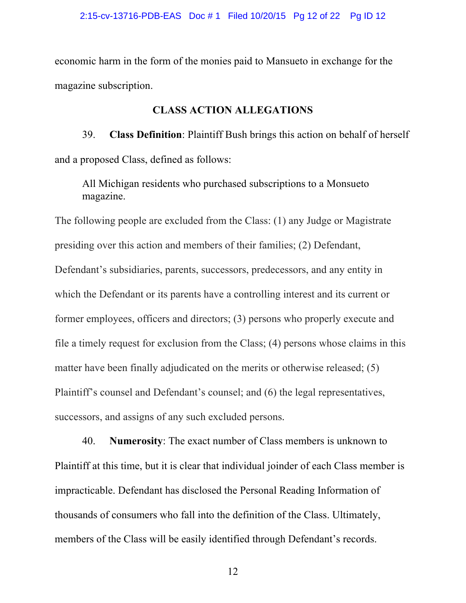economic harm in the form of the monies paid to Mansueto in exchange for the magazine subscription.

### **CLASS ACTION ALLEGATIONS**

39. **Class Definition**: Plaintiff Bush brings this action on behalf of herself and a proposed Class, defined as follows:

All Michigan residents who purchased subscriptions to a Monsueto magazine.

The following people are excluded from the Class: (1) any Judge or Magistrate presiding over this action and members of their families; (2) Defendant, Defendant's subsidiaries, parents, successors, predecessors, and any entity in which the Defendant or its parents have a controlling interest and its current or former employees, officers and directors; (3) persons who properly execute and file a timely request for exclusion from the Class; (4) persons whose claims in this matter have been finally adjudicated on the merits or otherwise released; (5) Plaintiff's counsel and Defendant's counsel; and (6) the legal representatives, successors, and assigns of any such excluded persons.

40. **Numerosity**: The exact number of Class members is unknown to Plaintiff at this time, but it is clear that individual joinder of each Class member is impracticable. Defendant has disclosed the Personal Reading Information of thousands of consumers who fall into the definition of the Class. Ultimately, members of the Class will be easily identified through Defendant's records.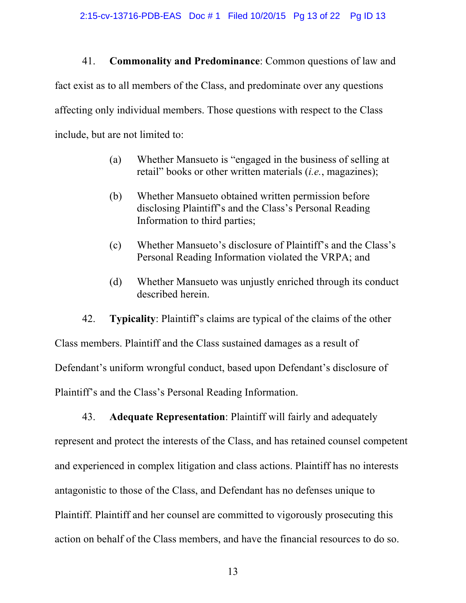41. **Commonality and Predominance**: Common questions of law and fact exist as to all members of the Class, and predominate over any questions affecting only individual members. Those questions with respect to the Class include, but are not limited to:

- (a) Whether Mansueto is "engaged in the business of selling at retail" books or other written materials (*i.e.*, magazines);
- (b) Whether Mansueto obtained written permission before disclosing Plaintiff's and the Class's Personal Reading Information to third parties;
- (c) Whether Mansueto's disclosure of Plaintiff's and the Class's Personal Reading Information violated the VRPA; and
- (d) Whether Mansueto was unjustly enriched through its conduct described herein.

42. **Typicality**: Plaintiff's claims are typical of the claims of the other Class members. Plaintiff and the Class sustained damages as a result of Defendant's uniform wrongful conduct, based upon Defendant's disclosure of Plaintiff's and the Class's Personal Reading Information.

43. **Adequate Representation**: Plaintiff will fairly and adequately represent and protect the interests of the Class, and has retained counsel competent and experienced in complex litigation and class actions. Plaintiff has no interests antagonistic to those of the Class, and Defendant has no defenses unique to Plaintiff. Plaintiff and her counsel are committed to vigorously prosecuting this action on behalf of the Class members, and have the financial resources to do so.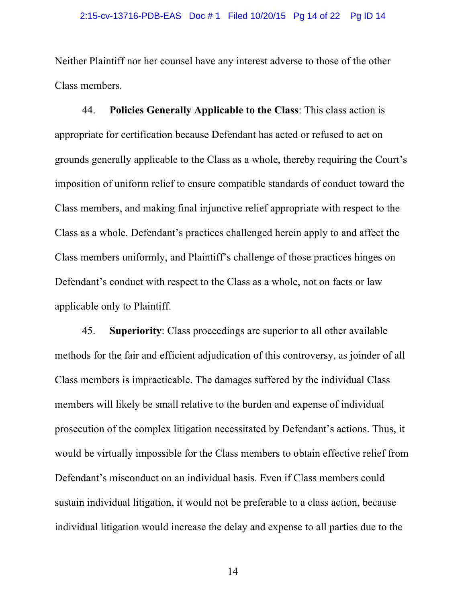Neither Plaintiff nor her counsel have any interest adverse to those of the other Class members.

44. **Policies Generally Applicable to the Class**: This class action is appropriate for certification because Defendant has acted or refused to act on grounds generally applicable to the Class as a whole, thereby requiring the Court's imposition of uniform relief to ensure compatible standards of conduct toward the Class members, and making final injunctive relief appropriate with respect to the Class as a whole. Defendant's practices challenged herein apply to and affect the Class members uniformly, and Plaintiff's challenge of those practices hinges on Defendant's conduct with respect to the Class as a whole, not on facts or law applicable only to Plaintiff.

45. **Superiority**: Class proceedings are superior to all other available methods for the fair and efficient adjudication of this controversy, as joinder of all Class members is impracticable. The damages suffered by the individual Class members will likely be small relative to the burden and expense of individual prosecution of the complex litigation necessitated by Defendant's actions. Thus, it would be virtually impossible for the Class members to obtain effective relief from Defendant's misconduct on an individual basis. Even if Class members could sustain individual litigation, it would not be preferable to a class action, because individual litigation would increase the delay and expense to all parties due to the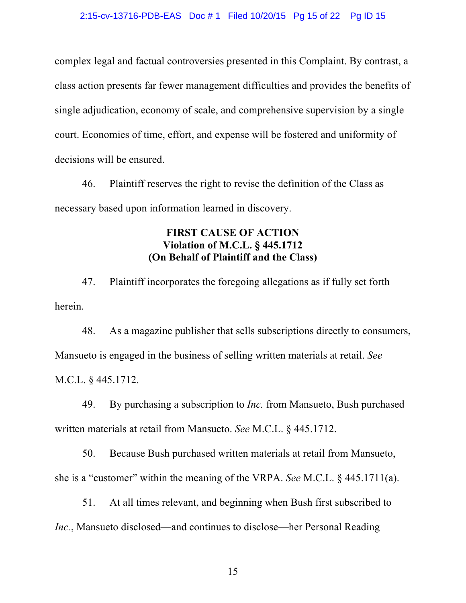complex legal and factual controversies presented in this Complaint. By contrast, a class action presents far fewer management difficulties and provides the benefits of single adjudication, economy of scale, and comprehensive supervision by a single court. Economies of time, effort, and expense will be fostered and uniformity of decisions will be ensured.

46. Plaintiff reserves the right to revise the definition of the Class as necessary based upon information learned in discovery.

# **FIRST CAUSE OF ACTION Violation of M.C.L. § 445.1712 (On Behalf of Plaintiff and the Class)**

47. Plaintiff incorporates the foregoing allegations as if fully set forth herein.

48. As a magazine publisher that sells subscriptions directly to consumers, Mansueto is engaged in the business of selling written materials at retail. *See*  M.C.L. § 445.1712.

49. By purchasing a subscription to *Inc.* from Mansueto, Bush purchased written materials at retail from Mansueto. *See* M.C.L. § 445.1712.

50. Because Bush purchased written materials at retail from Mansueto, she is a "customer" within the meaning of the VRPA. *See* M.C.L. § 445.1711(a).

51. At all times relevant, and beginning when Bush first subscribed to *Inc.*, Mansueto disclosed—and continues to disclose—her Personal Reading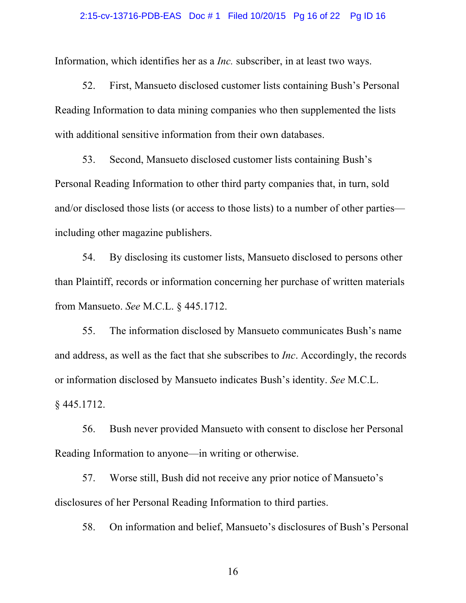#### 2:15-cv-13716-PDB-EAS Doc # 1 Filed 10/20/15 Pg 16 of 22 Pg ID 16

Information, which identifies her as a *Inc.* subscriber, in at least two ways.

52. First, Mansueto disclosed customer lists containing Bush's Personal Reading Information to data mining companies who then supplemented the lists with additional sensitive information from their own databases.

53. Second, Mansueto disclosed customer lists containing Bush's Personal Reading Information to other third party companies that, in turn, sold and/or disclosed those lists (or access to those lists) to a number of other parties including other magazine publishers.

54. By disclosing its customer lists, Mansueto disclosed to persons other than Plaintiff, records or information concerning her purchase of written materials from Mansueto. *See* M.C.L. § 445.1712.

55. The information disclosed by Mansueto communicates Bush's name and address, as well as the fact that she subscribes to *Inc*. Accordingly, the records or information disclosed by Mansueto indicates Bush's identity. *See* M.C.L. § 445.1712.

56. Bush never provided Mansueto with consent to disclose her Personal Reading Information to anyone—in writing or otherwise.

57. Worse still, Bush did not receive any prior notice of Mansueto's disclosures of her Personal Reading Information to third parties.

58. On information and belief, Mansueto's disclosures of Bush's Personal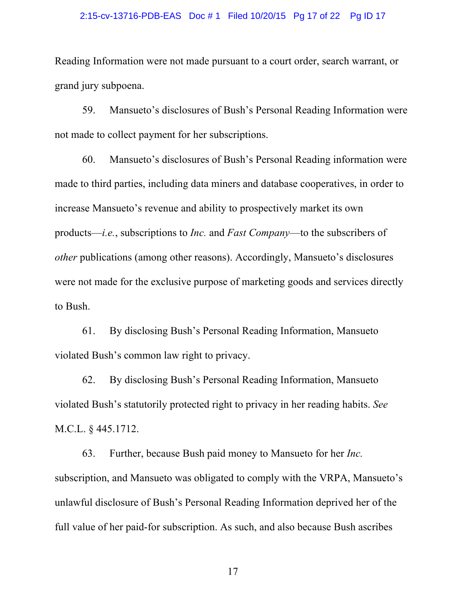#### 2:15-cv-13716-PDB-EAS Doc # 1 Filed 10/20/15 Pg 17 of 22 Pg ID 17

Reading Information were not made pursuant to a court order, search warrant, or grand jury subpoena.

59. Mansueto's disclosures of Bush's Personal Reading Information were not made to collect payment for her subscriptions.

60. Mansueto's disclosures of Bush's Personal Reading information were made to third parties, including data miners and database cooperatives, in order to increase Mansueto's revenue and ability to prospectively market its own products—*i.e.*, subscriptions to *Inc.* and *Fast Company*—to the subscribers of *other* publications (among other reasons). Accordingly, Mansueto's disclosures were not made for the exclusive purpose of marketing goods and services directly to Bush.

61. By disclosing Bush's Personal Reading Information, Mansueto violated Bush's common law right to privacy.

62. By disclosing Bush's Personal Reading Information, Mansueto violated Bush's statutorily protected right to privacy in her reading habits. *See*  M.C.L. § 445.1712.

63. Further, because Bush paid money to Mansueto for her *Inc.* subscription, and Mansueto was obligated to comply with the VRPA, Mansueto's unlawful disclosure of Bush's Personal Reading Information deprived her of the full value of her paid-for subscription. As such, and also because Bush ascribes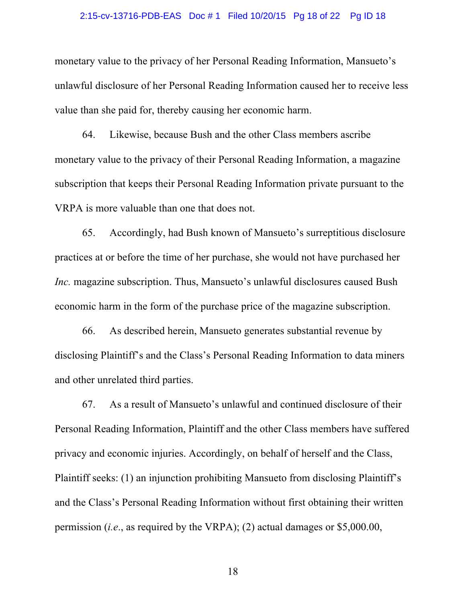#### 2:15-cv-13716-PDB-EAS Doc # 1 Filed 10/20/15 Pg 18 of 22 Pg ID 18

monetary value to the privacy of her Personal Reading Information, Mansueto's unlawful disclosure of her Personal Reading Information caused her to receive less value than she paid for, thereby causing her economic harm.

64. Likewise, because Bush and the other Class members ascribe monetary value to the privacy of their Personal Reading Information, a magazine subscription that keeps their Personal Reading Information private pursuant to the VRPA is more valuable than one that does not.

65. Accordingly, had Bush known of Mansueto's surreptitious disclosure practices at or before the time of her purchase, she would not have purchased her *Inc.* magazine subscription. Thus, Mansueto's unlawful disclosures caused Bush economic harm in the form of the purchase price of the magazine subscription.

66. As described herein, Mansueto generates substantial revenue by disclosing Plaintiff's and the Class's Personal Reading Information to data miners and other unrelated third parties.

67. As a result of Mansueto's unlawful and continued disclosure of their Personal Reading Information, Plaintiff and the other Class members have suffered privacy and economic injuries. Accordingly, on behalf of herself and the Class, Plaintiff seeks: (1) an injunction prohibiting Mansueto from disclosing Plaintiff's and the Class's Personal Reading Information without first obtaining their written permission (*i.e*., as required by the VRPA); (2) actual damages or \$5,000.00,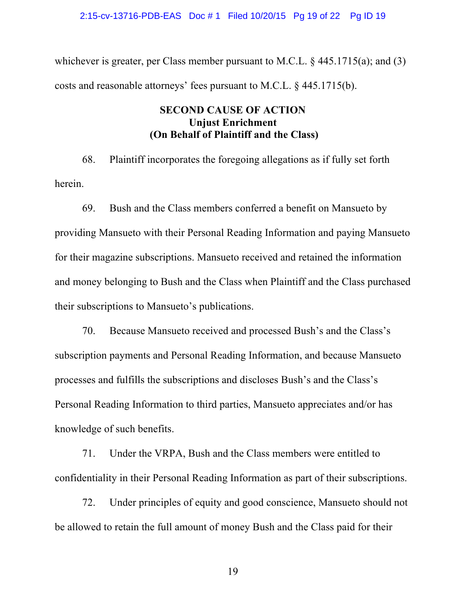2:15-cv-13716-PDB-EAS Doc # 1 Filed 10/20/15 Pg 19 of 22 Pg ID 19

whichever is greater, per Class member pursuant to M.C.L.  $\S$  445.1715(a); and (3) costs and reasonable attorneys' fees pursuant to M.C.L. § 445.1715(b).

# **SECOND CAUSE OF ACTION Unjust Enrichment (On Behalf of Plaintiff and the Class)**

68. Plaintiff incorporates the foregoing allegations as if fully set forth herein.

69. Bush and the Class members conferred a benefit on Mansueto by providing Mansueto with their Personal Reading Information and paying Mansueto for their magazine subscriptions. Mansueto received and retained the information and money belonging to Bush and the Class when Plaintiff and the Class purchased their subscriptions to Mansueto's publications.

70. Because Mansueto received and processed Bush's and the Class's subscription payments and Personal Reading Information, and because Mansueto processes and fulfills the subscriptions and discloses Bush's and the Class's Personal Reading Information to third parties, Mansueto appreciates and/or has knowledge of such benefits.

71. Under the VRPA, Bush and the Class members were entitled to confidentiality in their Personal Reading Information as part of their subscriptions.

72. Under principles of equity and good conscience, Mansueto should not be allowed to retain the full amount of money Bush and the Class paid for their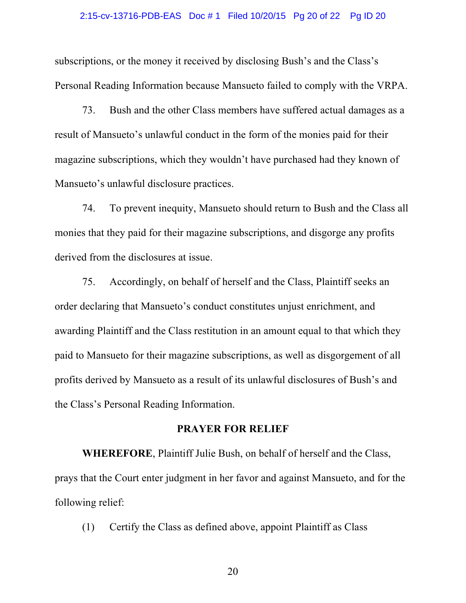#### 2:15-cv-13716-PDB-EAS Doc # 1 Filed 10/20/15 Pg 20 of 22 Pg ID 20

subscriptions, or the money it received by disclosing Bush's and the Class's Personal Reading Information because Mansueto failed to comply with the VRPA.

73. Bush and the other Class members have suffered actual damages as a result of Mansueto's unlawful conduct in the form of the monies paid for their magazine subscriptions, which they wouldn't have purchased had they known of Mansueto's unlawful disclosure practices.

74. To prevent inequity, Mansueto should return to Bush and the Class all monies that they paid for their magazine subscriptions, and disgorge any profits derived from the disclosures at issue.

75. Accordingly, on behalf of herself and the Class, Plaintiff seeks an order declaring that Mansueto's conduct constitutes unjust enrichment, and awarding Plaintiff and the Class restitution in an amount equal to that which they paid to Mansueto for their magazine subscriptions, as well as disgorgement of all profits derived by Mansueto as a result of its unlawful disclosures of Bush's and the Class's Personal Reading Information.

### **PRAYER FOR RELIEF**

**WHEREFORE**, Plaintiff Julie Bush, on behalf of herself and the Class, prays that the Court enter judgment in her favor and against Mansueto, and for the following relief:

(1) Certify the Class as defined above, appoint Plaintiff as Class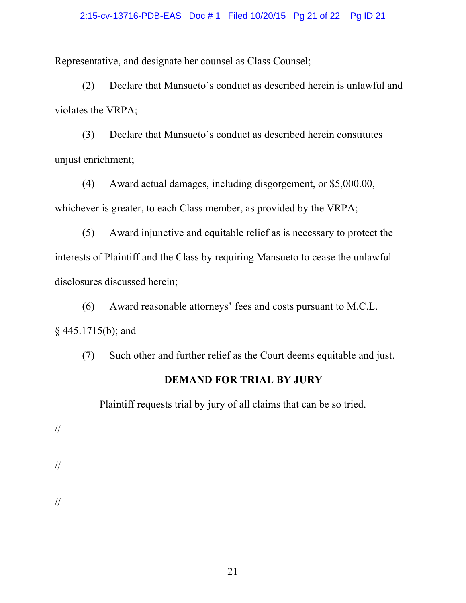### 2:15-cv-13716-PDB-EAS Doc # 1 Filed 10/20/15 Pg 21 of 22 Pg ID 21

Representative, and designate her counsel as Class Counsel;

(2) Declare that Mansueto's conduct as described herein is unlawful and violates the VRPA;

(3) Declare that Mansueto's conduct as described herein constitutes unjust enrichment;

(4) Award actual damages, including disgorgement, or \$5,000.00, whichever is greater, to each Class member, as provided by the VRPA;

(5) Award injunctive and equitable relief as is necessary to protect the interests of Plaintiff and the Class by requiring Mansueto to cease the unlawful disclosures discussed herein;

(6) Award reasonable attorneys' fees and costs pursuant to M.C.L. § 445.1715(b); and

(7) Such other and further relief as the Court deems equitable and just.

# **DEMAND FOR TRIAL BY JURY**

Plaintiff requests trial by jury of all claims that can be so tried.

//

//

//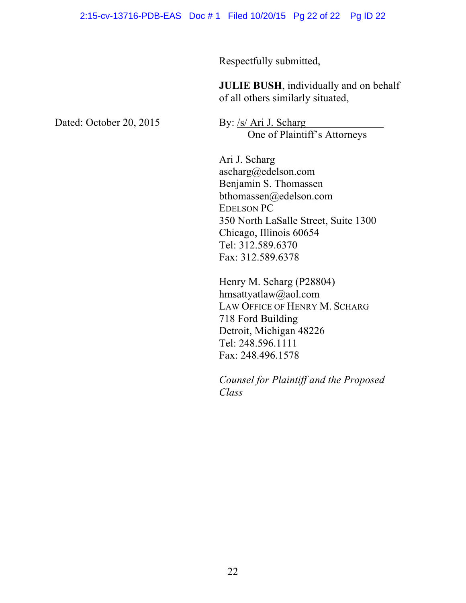Respectfully submitted,

**JULIE BUSH**, individually and on behalf of all others similarly situated,

Dated: October 20, 2015 By: /s/ Ari J. Scharg

One of Plaintiff's Attorneys

Ari J. Scharg ascharg@edelson.com Benjamin S. Thomassen bthomassen@edelson.com EDELSON PC 350 North LaSalle Street, Suite 1300 Chicago, Illinois 60654 Tel: 312.589.6370 Fax: 312.589.6378

Henry M. Scharg (P28804) hmsattyatlaw@aol.com LAW OFFICE OF HENRY M. SCHARG 718 Ford Building Detroit, Michigan 48226 Tel: 248.596.1111 Fax: 248.496.1578

*Counsel for Plaintiff and the Proposed Class*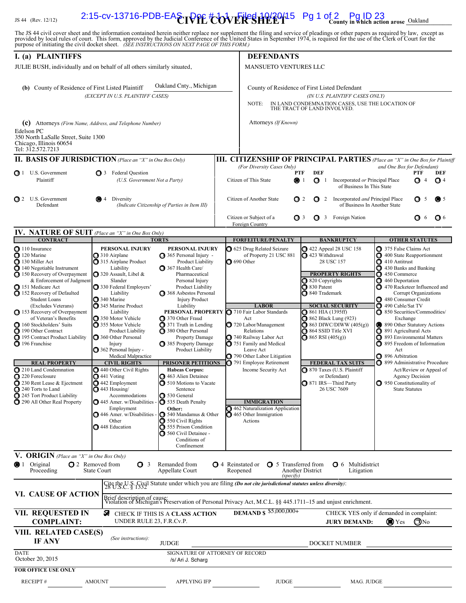# $L_{\rm IS\,44\,~(Rev.~12/12)}$  2:15-cv-13716-PDB-EA $\rm \epsilon_{\rm I}$ PPE  $^{\rm H}_{\rm CO}$ VERSHEEP<sup>15</sup> Pg 1 of 2 Pg ID 23<br> $L_{\rm county}$  in which action arose  $\rm Oakland$

The JS 44 civil cover sheet and the information contained herein neither replace nor supplement the filing and service of pleadings or other papers as required by law, except as provided by local rules of court. This form,

| I. (a) PLAINTIFFS                                                                                                                                                                                                                                                                                                                                                                                                                                                                                                                                                                                         |                                                                                                                                                                                                                                                                                                                                                                                                                                                                                                                                                                                                                          |                                                                                                                                                                                                                                                                                                                                                                                                                                                                                                                                                                                                                                                                         | <b>DEFENDANTS</b>                                                                                                                                                                                                                                                                                                                                                                                                                                                                |                                                                                                                                                                                                                                                                                                                                                                                                                                                                                      |                                                                                                                                                                                                                                                                                                                                                                                                                                                                                                                                                                                                                                           |
|-----------------------------------------------------------------------------------------------------------------------------------------------------------------------------------------------------------------------------------------------------------------------------------------------------------------------------------------------------------------------------------------------------------------------------------------------------------------------------------------------------------------------------------------------------------------------------------------------------------|--------------------------------------------------------------------------------------------------------------------------------------------------------------------------------------------------------------------------------------------------------------------------------------------------------------------------------------------------------------------------------------------------------------------------------------------------------------------------------------------------------------------------------------------------------------------------------------------------------------------------|-------------------------------------------------------------------------------------------------------------------------------------------------------------------------------------------------------------------------------------------------------------------------------------------------------------------------------------------------------------------------------------------------------------------------------------------------------------------------------------------------------------------------------------------------------------------------------------------------------------------------------------------------------------------------|----------------------------------------------------------------------------------------------------------------------------------------------------------------------------------------------------------------------------------------------------------------------------------------------------------------------------------------------------------------------------------------------------------------------------------------------------------------------------------|--------------------------------------------------------------------------------------------------------------------------------------------------------------------------------------------------------------------------------------------------------------------------------------------------------------------------------------------------------------------------------------------------------------------------------------------------------------------------------------|-------------------------------------------------------------------------------------------------------------------------------------------------------------------------------------------------------------------------------------------------------------------------------------------------------------------------------------------------------------------------------------------------------------------------------------------------------------------------------------------------------------------------------------------------------------------------------------------------------------------------------------------|
| JULIE BUSH, individually and on behalf of all others similarly situated,                                                                                                                                                                                                                                                                                                                                                                                                                                                                                                                                  |                                                                                                                                                                                                                                                                                                                                                                                                                                                                                                                                                                                                                          |                                                                                                                                                                                                                                                                                                                                                                                                                                                                                                                                                                                                                                                                         | MANSUETO VENTURES LLC                                                                                                                                                                                                                                                                                                                                                                                                                                                            |                                                                                                                                                                                                                                                                                                                                                                                                                                                                                      |                                                                                                                                                                                                                                                                                                                                                                                                                                                                                                                                                                                                                                           |
| Oakland Cnty., Michigan<br>(b) County of Residence of First Listed Plaintiff<br>(EXCEPT IN U.S. PLAINTIFF CASES)                                                                                                                                                                                                                                                                                                                                                                                                                                                                                          |                                                                                                                                                                                                                                                                                                                                                                                                                                                                                                                                                                                                                          |                                                                                                                                                                                                                                                                                                                                                                                                                                                                                                                                                                                                                                                                         | County of Residence of First Listed Defendant<br>(IN U.S. PLAINTIFF CASES ONLY)<br>IN LAND CONDEMNATION CASES, USE THE LOCATION OF<br>NOTE:<br>THE TRACT OF LAND INVOLVED.                                                                                                                                                                                                                                                                                                       |                                                                                                                                                                                                                                                                                                                                                                                                                                                                                      |                                                                                                                                                                                                                                                                                                                                                                                                                                                                                                                                                                                                                                           |
| (c) Attorneys (Firm Name, Address, and Telephone Number)<br>Edelson PC<br>350 North LaSalle Street, Suite 1300<br>Chicago, Illinois 60654<br>Tel: 312.572.7213                                                                                                                                                                                                                                                                                                                                                                                                                                            |                                                                                                                                                                                                                                                                                                                                                                                                                                                                                                                                                                                                                          |                                                                                                                                                                                                                                                                                                                                                                                                                                                                                                                                                                                                                                                                         | Attorneys (If Known)                                                                                                                                                                                                                                                                                                                                                                                                                                                             |                                                                                                                                                                                                                                                                                                                                                                                                                                                                                      |                                                                                                                                                                                                                                                                                                                                                                                                                                                                                                                                                                                                                                           |
| <b>II. BASIS OF JURISDICTION</b> (Place an "X" in One Box Only)                                                                                                                                                                                                                                                                                                                                                                                                                                                                                                                                           |                                                                                                                                                                                                                                                                                                                                                                                                                                                                                                                                                                                                                          |                                                                                                                                                                                                                                                                                                                                                                                                                                                                                                                                                                                                                                                                         |                                                                                                                                                                                                                                                                                                                                                                                                                                                                                  |                                                                                                                                                                                                                                                                                                                                                                                                                                                                                      | <b>III. CITIZENSHIP OF PRINCIPAL PARTIES</b> (Place an "X" in One Box for Plaintiff                                                                                                                                                                                                                                                                                                                                                                                                                                                                                                                                                       |
| $\bigcirc$ 1 U.S. Government<br>Plaintiff                                                                                                                                                                                                                                                                                                                                                                                                                                                                                                                                                                 | 3 Federal Question<br>(U.S. Government Not a Party)                                                                                                                                                                                                                                                                                                                                                                                                                                                                                                                                                                      |                                                                                                                                                                                                                                                                                                                                                                                                                                                                                                                                                                                                                                                                         | (For Diversity Cases Only)<br><b>PTF</b><br>Citizen of This State<br>$\bullet$ 1                                                                                                                                                                                                                                                                                                                                                                                                 | <b>DEF</b><br>Q <sub>1</sub><br>Incorporated or Principal Place<br>of Business In This State                                                                                                                                                                                                                                                                                                                                                                                         | and One Box for Defendant)<br>DEF<br>PTF<br>Q <sub>4</sub><br>O<br>$\overline{4}$                                                                                                                                                                                                                                                                                                                                                                                                                                                                                                                                                         |
| 2 U.S. Government<br>Defendant                                                                                                                                                                                                                                                                                                                                                                                                                                                                                                                                                                            | Diversity<br>$\overline{4}$                                                                                                                                                                                                                                                                                                                                                                                                                                                                                                                                                                                              | (Indicate Citizenship of Parties in Item III)                                                                                                                                                                                                                                                                                                                                                                                                                                                                                                                                                                                                                           | Citizen of Another State<br>Q <sub>2</sub>                                                                                                                                                                                                                                                                                                                                                                                                                                       | 2 Incorporated and Principal Place<br>of Business In Another State                                                                                                                                                                                                                                                                                                                                                                                                                   | O<br>$\bullet$ 5<br>- 5                                                                                                                                                                                                                                                                                                                                                                                                                                                                                                                                                                                                                   |
|                                                                                                                                                                                                                                                                                                                                                                                                                                                                                                                                                                                                           |                                                                                                                                                                                                                                                                                                                                                                                                                                                                                                                                                                                                                          |                                                                                                                                                                                                                                                                                                                                                                                                                                                                                                                                                                                                                                                                         | Citizen or Subject of a<br>Q <sub>3</sub><br>Foreign Country                                                                                                                                                                                                                                                                                                                                                                                                                     | 3 Foreign Nation                                                                                                                                                                                                                                                                                                                                                                                                                                                                     | $Q_{6}$<br>$Q_6$                                                                                                                                                                                                                                                                                                                                                                                                                                                                                                                                                                                                                          |
| IV. NATURE OF SUIT (Place an "X" in One Box Only)                                                                                                                                                                                                                                                                                                                                                                                                                                                                                                                                                         |                                                                                                                                                                                                                                                                                                                                                                                                                                                                                                                                                                                                                          |                                                                                                                                                                                                                                                                                                                                                                                                                                                                                                                                                                                                                                                                         |                                                                                                                                                                                                                                                                                                                                                                                                                                                                                  |                                                                                                                                                                                                                                                                                                                                                                                                                                                                                      |                                                                                                                                                                                                                                                                                                                                                                                                                                                                                                                                                                                                                                           |
| <b>CONTRACT</b><br>110 Insurance<br>120 Marine<br>130 Miller Act<br>140 Negotiable Instrument<br>150 Recovery of Overpayment<br>& Enforcement of Judgment<br>151 Medicare Act<br>152 Recovery of Defaulted<br><b>Student Loans</b><br>(Excludes Veterans)<br>153 Recovery of Overpayment<br>of Veteran's Benefits<br>160 Stockholders' Suits<br>190 Other Contract<br>195 Contract Product Liability<br>196 Franchise<br><b>REAL PROPERTY</b><br>210 Land Condemnation<br>220 Foreclosure<br>230 Rent Lease & Ejectment<br>240 Torts to Land<br>245 Tort Product Liability<br>290 All Other Real Property | <b>PERSONAL INJURY</b><br>310 Airplane<br>315 Airplane Product<br>Liability<br>320 Assault, Libel &<br>Slander<br>330 Federal Employers'<br>Liability<br>$\bigcirc$ 340 Marine<br>345 Marine Product<br>Liability<br>350 Motor Vehicle<br>355 Motor Vehicle<br>Product Liability<br>360 Other Personal<br>Injury<br>$\bigcirc$ 362 Personal Injury -<br>Medical Malpractice<br><b>CIVIL RIGHTS</b><br>440 Other Civil Rights<br>$\bigcirc$ 441 Voting<br>442 Employment<br>$\bigcirc$ 443 Housing/<br>Accommodations<br>445 Amer. w/Disabilities -<br>Employment<br>446 Amer. w/Disabilities -<br>Other<br>448 Education | <b>TORTS</b><br>PERSONAL INJURY<br>365 Personal Injury -<br>Product Liability<br>367 Health Care/<br>Pharmaceutical<br>Personal Injury<br>Product Liability<br>368 Asbestos Personal<br><b>Injury Product</b><br>Liability<br>370 Other Fraud<br>371 Truth in Lending<br>380 Other Personal<br><b>Property Damage</b><br>385 Property Damage<br>Product Liability<br><b>PRISONER PETITIONS</b><br><b>Habeas Corpus:</b><br>463 Alien Detainee<br>510 Motions to Vacate<br>Sentence<br>530 General<br>535 Death Penalty<br>Other:<br>540 Mandamus & Other<br>$\bigcirc$ 550 Civil Rights<br>555 Prison Condition<br>560 Civil Detainee -<br>Conditions of<br>Confinement | <b>FORFEITURE/PENALTY</b><br>625 Drug Related Seizure<br>of Property 21 USC 881<br>$\bigcirc$ 690 Other<br><b>LABOR</b><br>PERSONAL PROPERTY @ 710 Fair Labor Standards<br>Act<br>720 Labor/Management<br>Relations<br>740 Railway Labor Act<br>751 Family and Medical<br>Leave Act<br>790 Other Labor Litigation<br>791 Employee Retirement<br>Income Security Act<br><b>IMMIGRATION</b><br>462 Naturalization Application<br>$\ddot{\bullet}$ 465 Other Immigration<br>Actions | <b>BANKRUPTCY</b><br>422 Appeal 28 USC 158<br>423 Withdrawal<br>28 USC 157<br><b>PROPERTY RIGHTS</b><br>$\bigcirc$ 820 Copyrights<br>830 Patent<br>840 Trademark<br><b>SOCIAL SECURITY</b><br>$\bigcirc$ 861 HIA (1395ff)<br><b>362 Black Lung (923)</b><br>$\bigcirc$ 863 DIWC/DIWW (405(g))<br><b>◯ 864 SSID Title XVI</b><br>$\bigcirc$ 865 RSI (405(g))<br><b>FEDERAL TAX SUITS</b><br><b>□</b> 870 Taxes (U.S. Plaintiff<br>or Defendant)<br>871 IRS-Third Party<br>26 USC 7609 | <b>OTHER STATUTES</b><br>375 False Claims Act<br>400 State Reapportionment<br>$\bigcirc$ 410 Antitrust<br>430 Banks and Banking<br>450 Commerce<br>460 Deportation<br>470 Racketeer Influenced and<br>Corrupt Organizations<br>480 Consumer Credit<br>490 Cable/Sat TV<br>850 Securities/Commodities/<br>Exchange<br>890 Other Statutory Actions<br>891 Agricultural Acts<br><sup>393</sup> Environmental Matters<br>895 Freedom of Information<br>Act<br><sup>396</sup> Arbitration<br>899 Administrative Procedure<br>Act/Review or Appeal of<br><b>Agency Decision</b><br>$\bigcirc$ 950 Constitutionality of<br><b>State Statutes</b> |
| V. ORIGIN (Place an "X" in One Box Only)<br>$\bullet$ 1 Original<br>Proceeding                                                                                                                                                                                                                                                                                                                                                                                                                                                                                                                            | <b>0</b> 2 Removed from<br>$\sigma$ 3<br><b>State Court</b>                                                                                                                                                                                                                                                                                                                                                                                                                                                                                                                                                              | Remanded from<br>Appellate Court                                                                                                                                                                                                                                                                                                                                                                                                                                                                                                                                                                                                                                        | <b>0</b> 4 Reinstated or<br><b>O</b> 5 Transferred from<br>Reopened                                                                                                                                                                                                                                                                                                                                                                                                              | <b>O</b> 6 Multidistrict<br>Another District<br>Litigation                                                                                                                                                                                                                                                                                                                                                                                                                           |                                                                                                                                                                                                                                                                                                                                                                                                                                                                                                                                                                                                                                           |
| VI. CAUSE OF ACTION                                                                                                                                                                                                                                                                                                                                                                                                                                                                                                                                                                                       |                                                                                                                                                                                                                                                                                                                                                                                                                                                                                                                                                                                                                          |                                                                                                                                                                                                                                                                                                                                                                                                                                                                                                                                                                                                                                                                         | (specify)<br>Cite the U.S. Civil Statute under which you are filing (Do not cite jurisdictional statutes unless diversity):<br>Brief description of cause:<br>Violation of Michigan's Preservation of Personal Privacy Act, M.C.L. §§ 445.1711-15 and unjust enrichment.                                                                                                                                                                                                         |                                                                                                                                                                                                                                                                                                                                                                                                                                                                                      |                                                                                                                                                                                                                                                                                                                                                                                                                                                                                                                                                                                                                                           |
| VII. REQUESTED IN<br><b>COMPLAINT:</b>                                                                                                                                                                                                                                                                                                                                                                                                                                                                                                                                                                    | UNDER RULE 23, F.R.Cv.P.                                                                                                                                                                                                                                                                                                                                                                                                                                                                                                                                                                                                 | CHECK IF THIS IS A CLASS ACTION                                                                                                                                                                                                                                                                                                                                                                                                                                                                                                                                                                                                                                         | <b>DEMAND \$ \$5,000,000+</b>                                                                                                                                                                                                                                                                                                                                                                                                                                                    | <b>JURY DEMAND:</b>                                                                                                                                                                                                                                                                                                                                                                                                                                                                  | CHECK YES only if demanded in complaint:<br>$\bigcirc$ No<br>$\bigcirc$ Yes                                                                                                                                                                                                                                                                                                                                                                                                                                                                                                                                                               |
| VIII. RELATED CASE(S)<br><b>IF ANY</b>                                                                                                                                                                                                                                                                                                                                                                                                                                                                                                                                                                    | (See instructions):                                                                                                                                                                                                                                                                                                                                                                                                                                                                                                                                                                                                      | <b>JUDGE</b>                                                                                                                                                                                                                                                                                                                                                                                                                                                                                                                                                                                                                                                            |                                                                                                                                                                                                                                                                                                                                                                                                                                                                                  | DOCKET NUMBER                                                                                                                                                                                                                                                                                                                                                                                                                                                                        |                                                                                                                                                                                                                                                                                                                                                                                                                                                                                                                                                                                                                                           |
| <b>DATE</b><br>October 20, 2015                                                                                                                                                                                                                                                                                                                                                                                                                                                                                                                                                                           |                                                                                                                                                                                                                                                                                                                                                                                                                                                                                                                                                                                                                          | SIGNATURE OF ATTORNEY OF RECORD<br>/s/ Ari J. Scharg                                                                                                                                                                                                                                                                                                                                                                                                                                                                                                                                                                                                                    |                                                                                                                                                                                                                                                                                                                                                                                                                                                                                  |                                                                                                                                                                                                                                                                                                                                                                                                                                                                                      |                                                                                                                                                                                                                                                                                                                                                                                                                                                                                                                                                                                                                                           |
| <b>FOR OFFICE USE ONLY</b><br><b>RECEIPT#</b>                                                                                                                                                                                                                                                                                                                                                                                                                                                                                                                                                             | <b>AMOUNT</b>                                                                                                                                                                                                                                                                                                                                                                                                                                                                                                                                                                                                            | <b>APPLYING IFP</b>                                                                                                                                                                                                                                                                                                                                                                                                                                                                                                                                                                                                                                                     | <b>JUDGE</b>                                                                                                                                                                                                                                                                                                                                                                                                                                                                     | MAG. JUDGE                                                                                                                                                                                                                                                                                                                                                                                                                                                                           |                                                                                                                                                                                                                                                                                                                                                                                                                                                                                                                                                                                                                                           |
|                                                                                                                                                                                                                                                                                                                                                                                                                                                                                                                                                                                                           |                                                                                                                                                                                                                                                                                                                                                                                                                                                                                                                                                                                                                          |                                                                                                                                                                                                                                                                                                                                                                                                                                                                                                                                                                                                                                                                         |                                                                                                                                                                                                                                                                                                                                                                                                                                                                                  |                                                                                                                                                                                                                                                                                                                                                                                                                                                                                      |                                                                                                                                                                                                                                                                                                                                                                                                                                                                                                                                                                                                                                           |